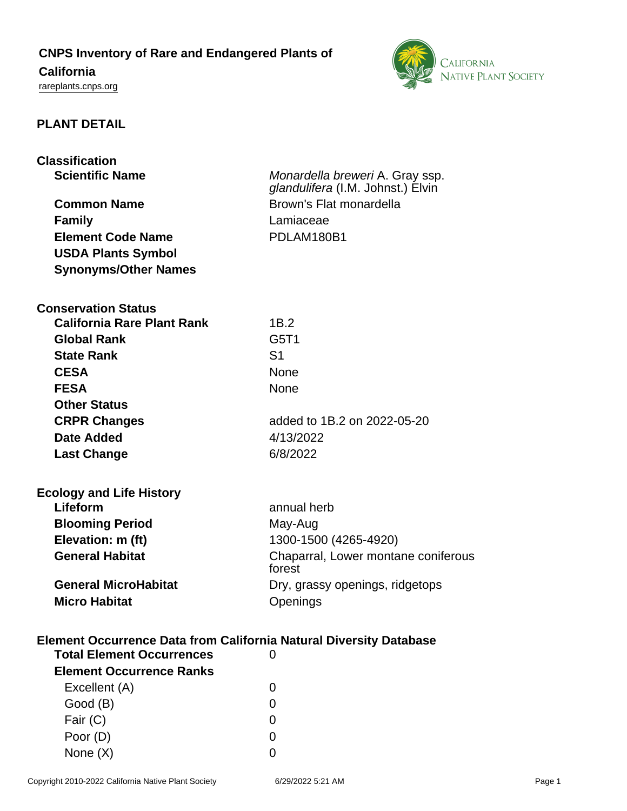## **CNPS Inventory of Rare and Endangered Plants of**

# **California**

<rareplants.cnps.org>



### **PLANT DETAIL**

| <b>Classification</b><br><b>Scientific Name</b><br><b>Common Name</b><br><b>Family</b><br><b>Element Code Name</b><br><b>USDA Plants Symbol</b><br><b>Synonyms/Other Names</b> | Monardella breweri A. Gray ssp.<br>glandulifera (I.M. Johnst.) Elvin<br>Brown's Flat monardella<br>Lamiaceae<br>PDLAM180B1 |
|--------------------------------------------------------------------------------------------------------------------------------------------------------------------------------|----------------------------------------------------------------------------------------------------------------------------|
| <b>Conservation Status</b>                                                                                                                                                     |                                                                                                                            |
| <b>California Rare Plant Rank</b>                                                                                                                                              | 1B.2                                                                                                                       |
| <b>Global Rank</b>                                                                                                                                                             | G5T1                                                                                                                       |
| <b>State Rank</b>                                                                                                                                                              | S <sub>1</sub>                                                                                                             |
| <b>CESA</b>                                                                                                                                                                    | None                                                                                                                       |
| <b>FESA</b>                                                                                                                                                                    | None                                                                                                                       |
| <b>Other Status</b>                                                                                                                                                            |                                                                                                                            |
| <b>CRPR Changes</b>                                                                                                                                                            | added to 1B.2 on 2022-05-20                                                                                                |
| <b>Date Added</b>                                                                                                                                                              | 4/13/2022                                                                                                                  |
| <b>Last Change</b>                                                                                                                                                             | 6/8/2022                                                                                                                   |
| <b>Ecology and Life History</b>                                                                                                                                                |                                                                                                                            |
| Lifeform                                                                                                                                                                       | annual herb                                                                                                                |
| <b>Blooming Period</b>                                                                                                                                                         | May-Aug                                                                                                                    |
| Elevation: m (ft)                                                                                                                                                              | 1300-1500 (4265-4920)                                                                                                      |
| <b>General Habitat</b>                                                                                                                                                         | Chaparral, Lower montane coniferous<br>forest                                                                              |
| <b>General MicroHabitat</b>                                                                                                                                                    | Dry, grassy openings, ridgetops                                                                                            |
| <b>Micro Habitat</b>                                                                                                                                                           | Openings                                                                                                                   |
| <b>Element Occurrence Data from California Natural Diversity Database</b>                                                                                                      |                                                                                                                            |
| <b>Total Element Occurrences</b>                                                                                                                                               | 0                                                                                                                          |
| <b>Element Occurrence Ranks</b>                                                                                                                                                |                                                                                                                            |
| Excellent (A)                                                                                                                                                                  | O                                                                                                                          |
| Good (B)                                                                                                                                                                       | 0                                                                                                                          |
| Fair (C)                                                                                                                                                                       | 0                                                                                                                          |
| Poor (D)                                                                                                                                                                       | 0                                                                                                                          |
| None (X)                                                                                                                                                                       | 0                                                                                                                          |